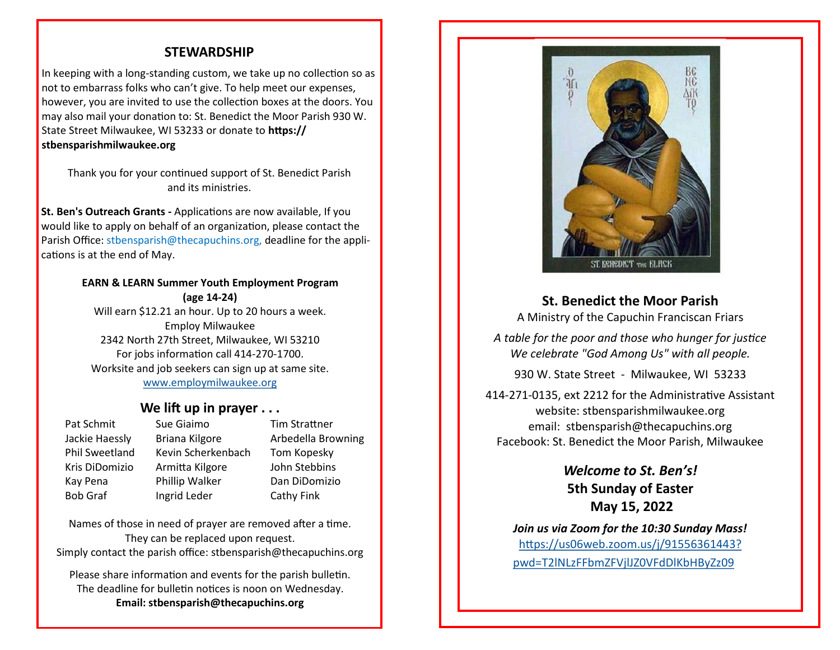## **STEWARDSHIP**

In keeping with a long-standing custom, we take up no collection so as not to embarrass folks who can't give. To help meet our expenses, however, you are invited to use the collection boxes at the doors. You may also mail your donation to: St. Benedict the Moor Parish 930 W. State Street Milwaukee, WI 53233 or donate to **https:// stbensparishmilwaukee.org**

Thank you for your continued support of St. Benedict Parish and its ministries.

**St. Ben's Outreach Grants -** Applications are now available, If you would like to apply on behalf of an organization, please contact the Parish Office: stbensparish@thecapuchins.org, deadline for the applications is at the end of May.

#### **EARN & LEARN Summer Youth Employment Program (age 14-24)**

Will earn \$12.21 an hour. Up to 20 hours a week. Employ Milwaukee 2342 North 27th Street, Milwaukee, WI 53210 For jobs information call 414-270-1700. Worksite and job seekers can sign up at same site. [www.employmilwaukee.org](http://www.employmilwaukee.org)

### **We lift up in prayer . . .**

Pat Schmit Sue Giaimo Tim Strattner Jackie Haessly Briana Kilgore Arbedella Browning Phil Sweetland Kevin Scherkenbach Tom Kopesky Kris DiDomizio Armitta Kilgore John Stebbins Kay Pena Phillip Walker Dan DiDomizio Bob Graf Ingrid Leder Cathy Fink

Names of those in need of prayer are removed after a time. They can be replaced upon request. Simply contact the parish office: stbensparish@thecapuchins.org

Please share information and events for the parish bulletin. The deadline for bulletin notices is noon on Wednesday. **Email: stbensparish@thecapuchins.org**



**St. Benedict the Moor Parish**

A Ministry of the Capuchin Franciscan Friars

*A table for the poor and those who hunger for justice We celebrate "God Among Us" with all people.* 

930 W. State Street - Milwaukee, WI 53233

414-271-0135, ext 2212 for the Administrative Assistant website: stbensparishmilwaukee.org email: stbensparish@thecapuchins.org Facebook: St. Benedict the Moor Parish, Milwaukee

> *Welcome to St. Ben's!* **5th Sunday of Easter May 15, 2022**

*Join us via Zoom for the 10:30 Sunday Mass!* [https://us06web.zoom.us/j/91556361443?](https://us06web.zoom.us/j/91556361443?pwd=T2lNLzFFbmZFVjlJZ0VFdDlKbHByZz09) [pwd=T2lNLzFFbmZFVjlJZ0VFdDlKbHByZz09](https://us06web.zoom.us/j/91556361443?pwd=T2lNLzFFbmZFVjlJZ0VFdDlKbHByZz09)